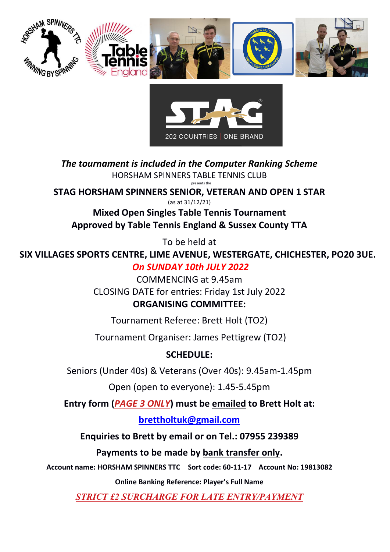



*The tournament is included in the Computer Ranking Scheme* HORSHAM SPINNERS TABLE TENNIS CLUB presents the

**STAG HORSHAM SPINNERS SENIOR, VETERAN AND OPEN 1 STAR**

(as at 31/12/21)

**Mixed Open Singles Table Tennis Tournament Approved by Table Tennis England & Sussex County TTA**

To be held at

**SIX VILLAGES SPORTS CENTRE, LIME AVENUE, WESTERGATE, CHICHESTER, PO20 3UE.** *On SUNDAY 10th JULY 2022*

> COMMENCING at 9.45am CLOSING DATE for entries: Friday 1st July 2022 **ORGANISING COMMITTEE:**

Tournament Referee: Brett Holt (TO2)

Tournament Organiser: James Pettigrew (TO2)

# **SCHEDULE:**

Seniors (Under 40s) & Veterans (Over 40s): 9.45am-1.45pm

Open (open to everyone): 1.45-5.45pm

**Entry form (***PAGE 3 ONLY***) must be emailed to Brett Holt at:**

# **[brettholtuk@gmail.com](mailto:brettholtuk@gmail.com)**

**Enquiries to Brett by email or on Tel.: 07955 239389**

**Payments to be made by bank transfer only.**

**Account name: HORSHAM SPINNERS TTC Sort code: 60-11-17 Account No: 19813082**

**Online Banking Reference: Player's Full Name**

*STRICT £2 SURCHARGE FOR LATE ENTRY/PAYMENT*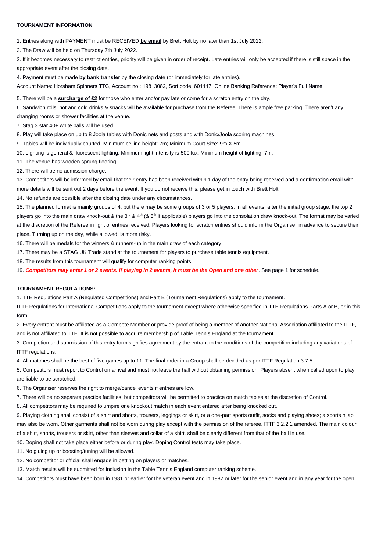# **TOURNAMENT INFORMATION**:

1. Entries along with PAYMENT must be RECEIVED **by email** by Brett Holt by no later than 1st July 2022.

2. The Draw will be held on Thursday 7th July 2022.

3. If it becomes necessary to restrict entries, priority will be given in order of receipt. Late entries will only be accepted if there is still space in the appropriate event after the closing date.

4. Payment must be made **by bank transfer** by the closing date (or immediately for late entries).

Account Name: Horsham Spinners TTC, Account no.: 19813082, Sort code: 601117, Online Banking Reference: Player's Full Name

5. There will be a **surcharge of £2** for those who enter and/or pay late or come for a scratch entry on the day.

6. Sandwich rolls, hot and cold drinks & snacks will be available for purchase from the Referee. There is ample free parking. There aren't any

changing rooms or shower facilities at the venue.

7. Stag 3 star 40+ white balls will be used.

8. Play will take place on up to 8 Joola tables with Donic nets and posts and with Donic/Joola scoring machines.

9. Tables will be individually courted. Minimum ceiling height: 7m; Minimum Court Size: 9m X 5m.

10. Lighting is general & fluorescent lighting. Minimum light intensity is 500 lux. Minimum height of lighting: 7m.

11. The venue has wooden sprung flooring.

12. There will be no admission charge.

13. Competitors will be informed by email that their entry has been received within 1 day of the entry being received and a confirmation email with more details will be sent out 2 days before the event. If you do not receive this, please get in touch with Brett Holt.

14. No refunds are possible after the closing date under any circumstances.

15. The planned format is mainly groups of 4, but there may be some groups of 3 or 5 players. In all events, after the initial group stage, the top 2 players go into the main draw knock-out & the 3<sup>rd</sup> & 4<sup>th</sup> (& 5<sup>th</sup> if applicable) players go into the consolation draw knock-out. The format may be varied at the discretion of the Referee in light of entries received. Players looking for scratch entries should inform the Organiser in advance to secure their place. Turning up on the day, while allowed, is more risky.

16. There will be medals for the winners & runners-up in the main draw of each category.

17. There may be a STAG UK Trade stand at the tournament for players to purchase table tennis equipment.

18. The results from this tournament will qualify for computer ranking points.

19. *Competitors may enter 1 or 2 events. If playing in 2 events, it must be the Open and one other*. See page 1 for schedule.

## **TOURNAMENT REGULATIONS:**

1. TTE Regulations Part A (Regulated Competitions) and Part B (Tournament Regulations) apply to the tournament.

ITTF Regulations for International Competitions apply to the tournament except where otherwise specified in TTE Regulations Parts A or B, or in this form.

2. Every entrant must be affiliated as a Compete Member or provide proof of being a member of another National Association affiliated to the ITTF, and is not affiliated to TTE. It is not possible to acquire membership of Table Tennis England at the tournament.

3. Completion and submission of this entry form signifies agreement by the entrant to the conditions of the competition including any variations of ITTF regulations.

4. All matches shall be the best of five games up to 11. The final order in a Group shall be decided as per ITTF Regulation 3.7.5.

5. Competitors must report to Control on arrival and must not leave the hall without obtaining permission. Players absent when called upon to play are liable to be scratched.

6. The Organiser reserves the right to merge/cancel events if entries are low.

7. There will be no separate practice facilities, but competitors will be permitted to practice on match tables at the discretion of Control.

8. All competitors may be required to umpire one knockout match in each event entered after being knocked out.

9. Playing clothing shall consist of a shirt and shorts, trousers, leggings or skirt, or a one-part sports outfit, socks and playing shoes; a sports hijab may also be worn. Other garments shall not be worn during play except with the permission of the referee. ITTF 3.2.2.1 amended. The main colour of a shirt, shorts, trousers or skirt, other than sleeves and collar of a shirt, shall be clearly different from that of the ball in use.

10. Doping shall not take place either before or during play. Doping Control tests may take place.

11. No gluing up or boosting/tuning will be allowed.

12. No competitor or official shall engage in betting on players or matches.

13. Match results will be submitted for inclusion in the Table Tennis England computer ranking scheme.

14. Competitors must have been born in 1981 or earlier for the veteran event and in 1982 or later for the senior event and in any year for the open.